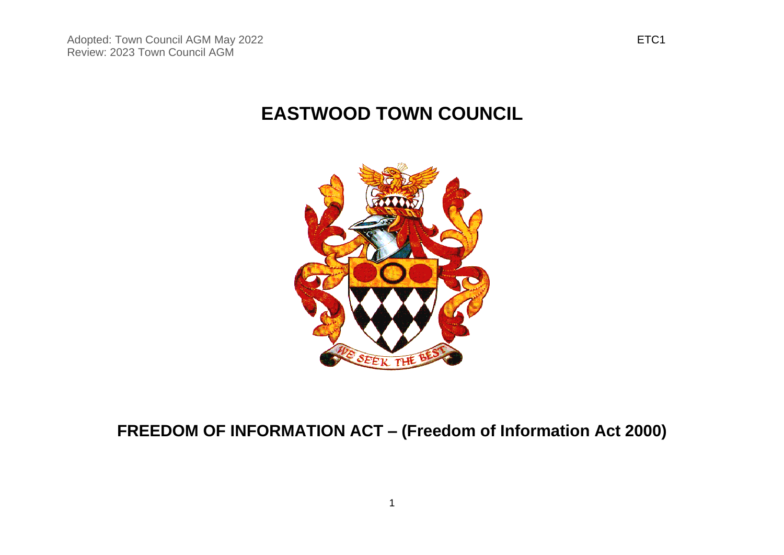# **EASTWOOD TOWN COUNCIL**



# **FREEDOM OF INFORMATION ACT – (Freedom of Information Act 2000)**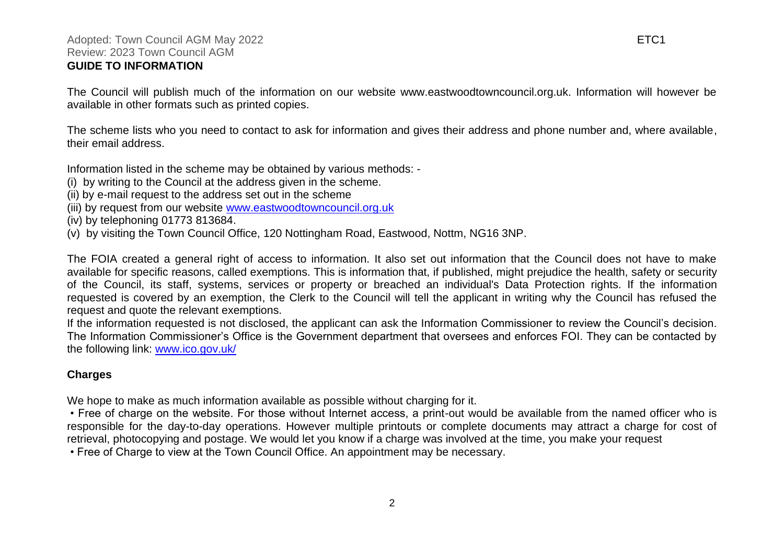#### Adopted: Town Council AGM May 2022 **ETC1** Review: 2023 Town Council AGM **GUIDE TO INFORMATION**

The Council will publish much of the information on our website www.eastwoodtowncouncil.org.uk. Information will however be available in other formats such as printed copies.

The scheme lists who you need to contact to ask for information and gives their address and phone number and, where available, their email address.

Information listed in the scheme may be obtained by various methods: -

(i) by writing to the Council at the address given in the scheme.

- (ii) by e-mail request to the address set out in the scheme
- (iii) by request from our website [www.eastwoodtowncouncil.org.uk](http://www.eastwoodtowncouncil.org.uk/)
- (iv) by telephoning 01773 813684.
- (v) by visiting the Town Council Office, 120 Nottingham Road, Eastwood, Nottm, NG16 3NP.

The FOIA created a general right of access to information. It also set out information that the Council does not have to make available for specific reasons, called exemptions. This is information that, if published, might prejudice the health, safety or security of the Council, its staff, systems, services or property or breached an individual's Data Protection rights. If the information requested is covered by an exemption, the Clerk to the Council will tell the applicant in writing why the Council has refused the request and quote the relevant exemptions.

If the information requested is not disclosed, the applicant can ask the Information Commissioner to review the Council's decision. The Information Commissioner's Office is the Government department that oversees and enforces FOI. They can be contacted by the following link: [www.ico.gov.uk/](http://www.ico.gov.uk/)

### **Charges**

We hope to make as much information available as possible without charging for it.

• Free of charge on the website. For those without Internet access, a print-out would be available from the named officer who is responsible for the day-to-day operations. However multiple printouts or complete documents may attract a charge for cost of retrieval, photocopying and postage. We would let you know if a charge was involved at the time, you make your request

• Free of Charge to view at the Town Council Office. An appointment may be necessary.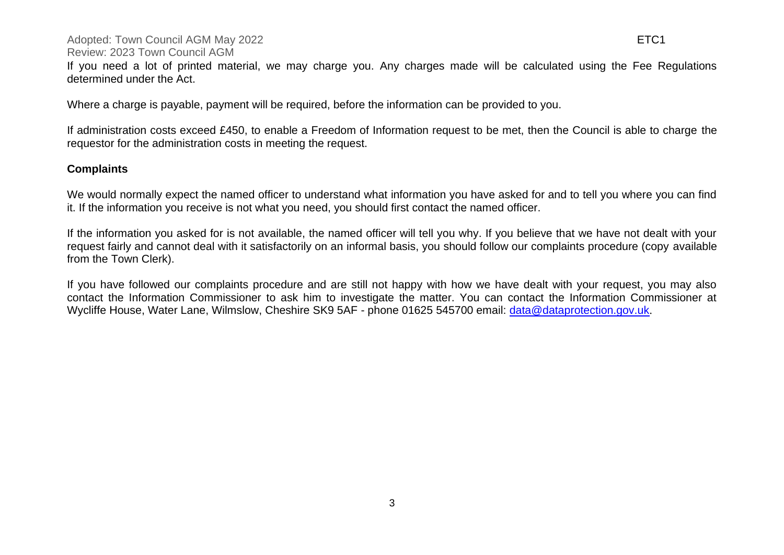#### Adopted: Town Council AGM May 2022 **ETC1** Review: 2023 Town Council AGM

If you need a lot of printed material, we may charge you. Any charges made will be calculated using the Fee Regulations determined under the Act.

Where a charge is payable, payment will be required, before the information can be provided to you.

If administration costs exceed £450, to enable a Freedom of Information request to be met, then the Council is able to charge the requestor for the administration costs in meeting the request.

### **Complaints**

We would normally expect the named officer to understand what information you have asked for and to tell you where you can find it. If the information you receive is not what you need, you should first contact the named officer.

If the information you asked for is not available, the named officer will tell you why. If you believe that we have not dealt with your request fairly and cannot deal with it satisfactorily on an informal basis, you should follow our complaints procedure (copy available from the Town Clerk).

If you have followed our complaints procedure and are still not happy with how we have dealt with your request, you may also contact the Information Commissioner to ask him to investigate the matter. You can contact the Information Commissioner at Wycliffe House, Water Lane, Wilmslow, Cheshire SK9 5AF - phone 01625 545700 email: [data@dataprotection.gov.uk](mailto:data@dataprotection.gov.uk).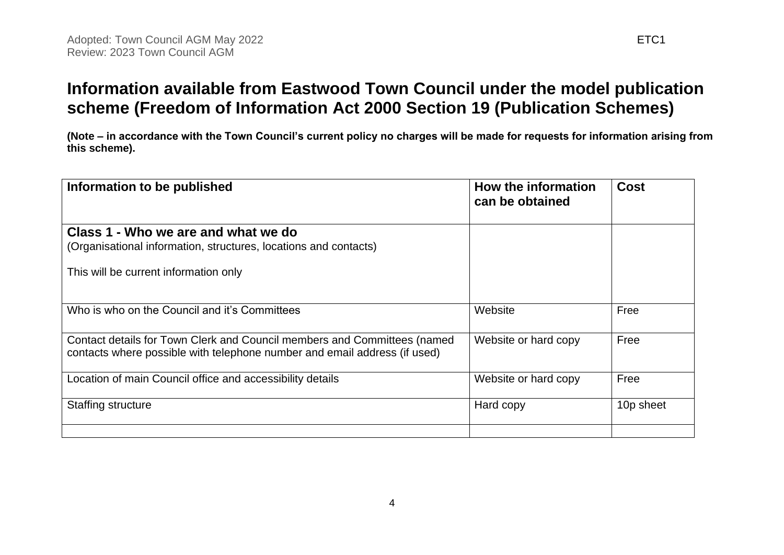## **Information available from Eastwood Town Council under the model publication scheme (Freedom of Information Act 2000 Section 19 (Publication Schemes)**

**(Note – in accordance with the Town Council's current policy no charges will be made for requests for information arising from this scheme).**

| Information to be published                                                                                                                           | How the information<br>can be obtained | <b>Cost</b> |
|-------------------------------------------------------------------------------------------------------------------------------------------------------|----------------------------------------|-------------|
| Class 1 - Who we are and what we do<br>(Organisational information, structures, locations and contacts)                                               |                                        |             |
| This will be current information only                                                                                                                 |                                        |             |
| Who is who on the Council and it's Committees                                                                                                         | Website                                | Free        |
| Contact details for Town Clerk and Council members and Committees (named<br>contacts where possible with telephone number and email address (if used) | Website or hard copy                   | Free        |
| Location of main Council office and accessibility details                                                                                             | Website or hard copy                   | Free        |
| Staffing structure                                                                                                                                    | Hard copy                              | 10p sheet   |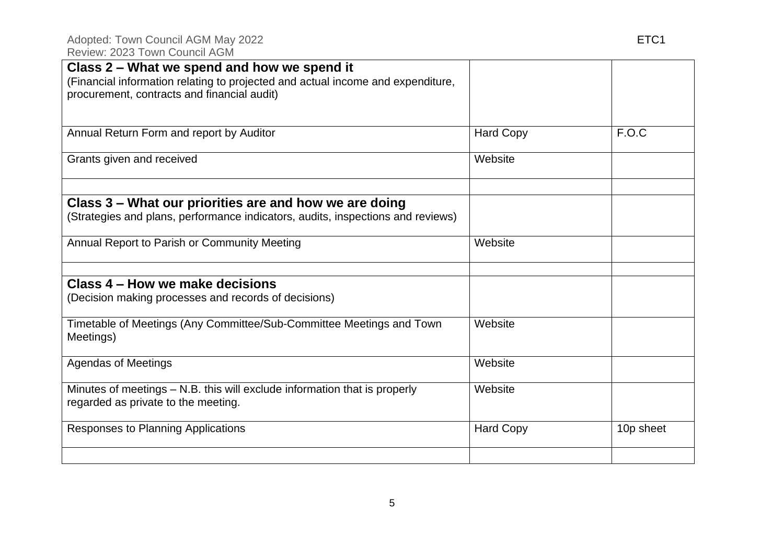| Class 2 - What we spend and how we spend it<br>(Financial information relating to projected and actual income and expenditure,<br>procurement, contracts and financial audit) |                  |           |
|-------------------------------------------------------------------------------------------------------------------------------------------------------------------------------|------------------|-----------|
| Annual Return Form and report by Auditor                                                                                                                                      | <b>Hard Copy</b> | F.O.C     |
| Grants given and received                                                                                                                                                     | Website          |           |
| Class 3 - What our priorities are and how we are doing                                                                                                                        |                  |           |
| (Strategies and plans, performance indicators, audits, inspections and reviews)                                                                                               |                  |           |
| Annual Report to Parish or Community Meeting                                                                                                                                  | Website          |           |
| Class 4 – How we make decisions<br>(Decision making processes and records of decisions)                                                                                       |                  |           |
| Timetable of Meetings (Any Committee/Sub-Committee Meetings and Town<br>Meetings)                                                                                             | Website          |           |
| <b>Agendas of Meetings</b>                                                                                                                                                    | Website          |           |
| Minutes of meetings - N.B. this will exclude information that is properly<br>regarded as private to the meeting.                                                              | Website          |           |
| Responses to Planning Applications                                                                                                                                            | <b>Hard Copy</b> | 10p sheet |
|                                                                                                                                                                               |                  |           |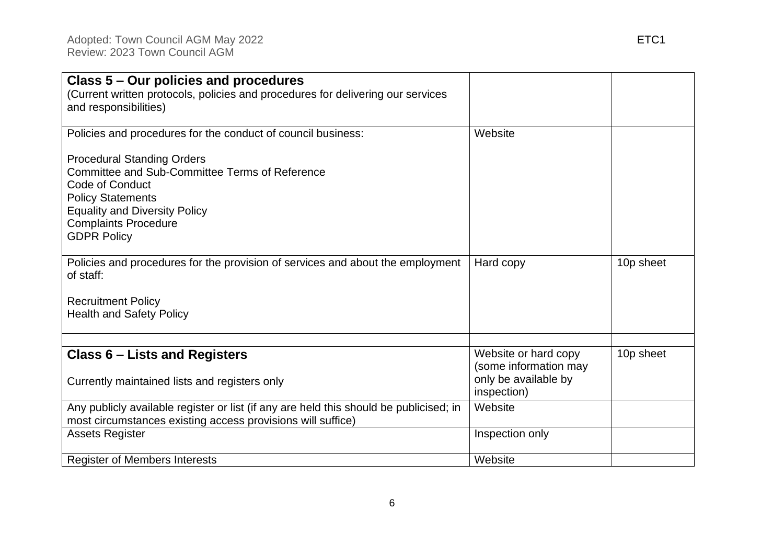| Class 5 – Our policies and procedures<br>(Current written protocols, policies and procedures for delivering our services<br>and responsibilities)                                                                               |                                                                       |           |
|---------------------------------------------------------------------------------------------------------------------------------------------------------------------------------------------------------------------------------|-----------------------------------------------------------------------|-----------|
| Policies and procedures for the conduct of council business:                                                                                                                                                                    | Website                                                               |           |
| <b>Procedural Standing Orders</b><br>Committee and Sub-Committee Terms of Reference<br>Code of Conduct<br><b>Policy Statements</b><br><b>Equality and Diversity Policy</b><br><b>Complaints Procedure</b><br><b>GDPR Policy</b> |                                                                       |           |
| Policies and procedures for the provision of services and about the employment<br>of staff:                                                                                                                                     | Hard copy                                                             | 10p sheet |
| <b>Recruitment Policy</b><br><b>Health and Safety Policy</b>                                                                                                                                                                    |                                                                       |           |
| <b>Class 6 – Lists and Registers</b><br>Currently maintained lists and registers only                                                                                                                                           | Website or hard copy<br>(some information may<br>only be available by | 10p sheet |
| Any publicly available register or list (if any are held this should be publicised; in<br>most circumstances existing access provisions will suffice)                                                                           | inspection)<br>Website                                                |           |
| <b>Assets Register</b>                                                                                                                                                                                                          | Inspection only                                                       |           |
| <b>Register of Members Interests</b>                                                                                                                                                                                            | Website                                                               |           |